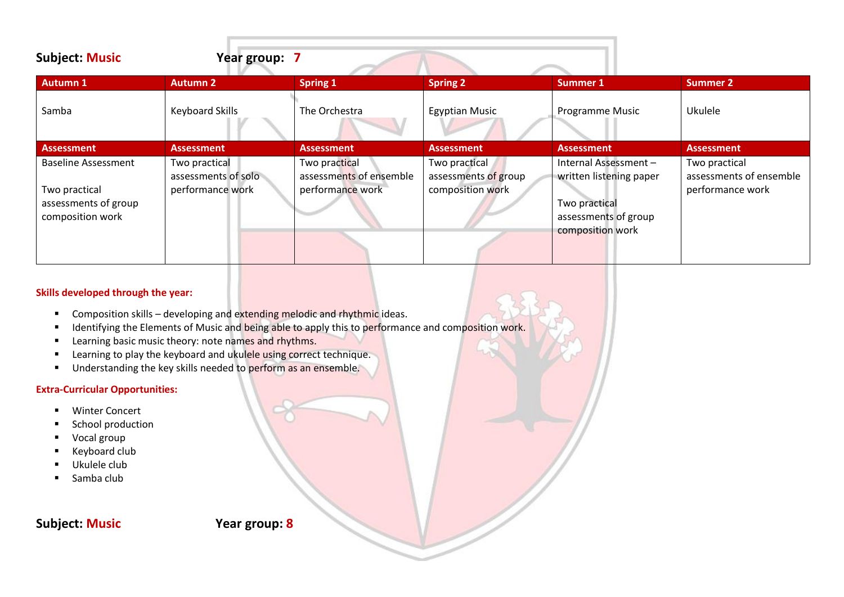| <b>Subject: Music</b>                                     | Year group: 7                        |                                          |                                       |                                                           |                                          |
|-----------------------------------------------------------|--------------------------------------|------------------------------------------|---------------------------------------|-----------------------------------------------------------|------------------------------------------|
| <b>Autumn 1</b>                                           | <b>Autumn 2</b>                      | <b>Spring 1</b>                          | <b>Spring 2</b>                       | <b>Summer 1</b>                                           | <b>Summer 2</b>                          |
| Samba                                                     | <b>Keyboard Skills</b>               | The Orchestra                            | <b>Egyptian Music</b>                 | Programme Music                                           | Ukulele                                  |
| <b>Assessment</b>                                         | <b>Assessment</b>                    | <b>Assessment</b>                        | <b>Assessment</b>                     | <b>Assessment</b>                                         | <b>Assessment</b>                        |
| <b>Baseline Assessment</b>                                | Two practical<br>assessments of solo | Two practical<br>assessments of ensemble | Two practical<br>assessments of group | Internal Assessment-<br>written listening paper           | Two practical<br>assessments of ensemble |
| Two practical<br>assessments of group<br>composition work | performance work                     | performance work                         | composition work                      | Two practical<br>assessments of group<br>composition work | performance work                         |

- Composition skills developing and extending melodic and rhythmic ideas.
- **■** Identifying the Elements of Music and being able to apply this to performance and composition work.
- Learning basic music theory: note names and rhythms.
- Learning to play the keyboard and ukulele using correct technique.
- Understanding the key skills needed to perform as an ensemble.

## **Extra-Curricular Opportunities:**

- Winter Concert
- School production
- Vocal group
- Keyboard club
- Ukulele club
- Samba club

# **Subject: Music Year group: 8**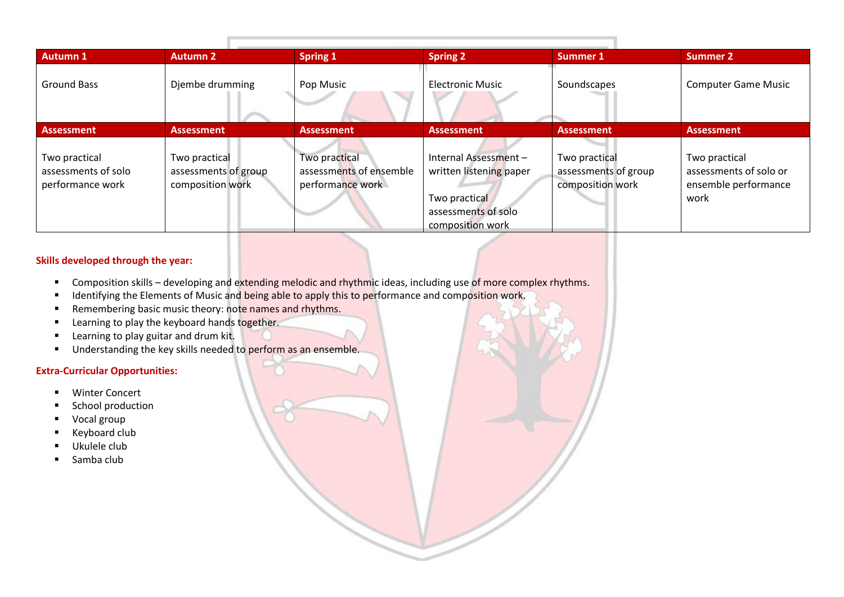| <b>Autumn 1</b>                                          | <b>Autumn 2</b>                                           | <b>Spring 1</b>                                              | <b>Spring 2</b>                                                                                             | Summer 1                                                  | <b>Summer 2</b>                                                         |
|----------------------------------------------------------|-----------------------------------------------------------|--------------------------------------------------------------|-------------------------------------------------------------------------------------------------------------|-----------------------------------------------------------|-------------------------------------------------------------------------|
| <b>Ground Bass</b>                                       | Djembe drumming                                           | Pop Music                                                    | <b>Electronic Music</b>                                                                                     | Soundscapes                                               | <b>Computer Game Music</b>                                              |
| <b>Assessment</b>                                        | <b>Assessment</b>                                         | <b>Assessment</b>                                            | <b>Assessment</b>                                                                                           | <b>Assessment</b>                                         | <b>Assessment</b>                                                       |
| Two practical<br>assessments of solo<br>performance work | Two practical<br>assessments of group<br>composition work | Two practical<br>assessments of ensemble<br>performance work | Internal Assessment-<br>written listening paper<br>Two practical<br>assessments of solo<br>composition work | Two practical<br>assessments of group<br>composition work | Two practical<br>assessments of solo or<br>ensemble performance<br>work |

- Composition skills developing and extending melodic and rhythmic ideas, including use of more complex rhythms.
- Identifying the Elements of Music and being able to apply this to performance and composition work.
- Remembering basic music theory: note names and rhythms.
- **EXEC** Learning to play the keyboard hands together.
- Learning to play guitar and drum kit.
- **■** Understanding the key skills needed to perform as an ensemble.

#### **Extra-Curricular Opportunities:**

- Winter Concert
- School production
- Vocal group
- Keyboard club
- Ukulele club
- Samba club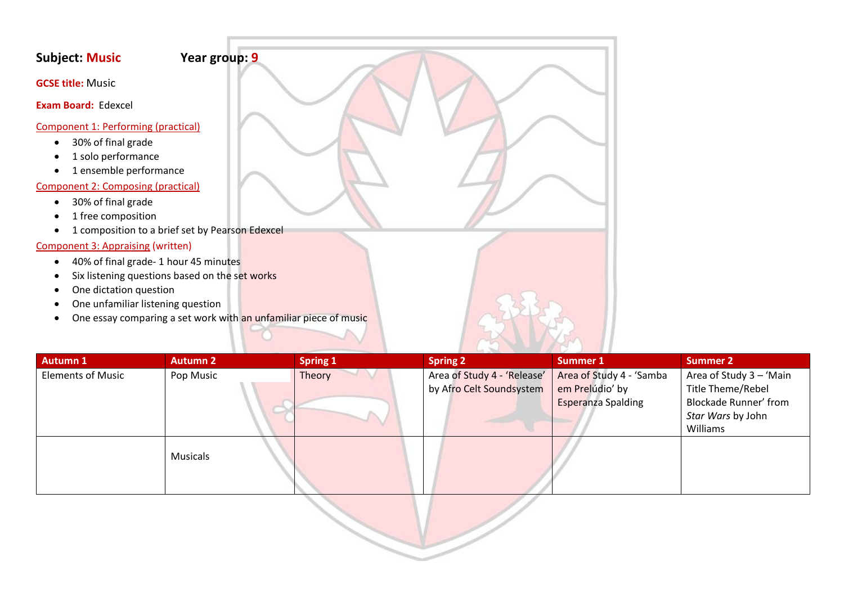## **Subject: Music Year group: 9**

**GCSE title:** Music

**Exam Board:** Edexcel

#### Component 1: Performing (practical)

- 30% of final grade
- 1 solo performance
- 1 ensemble performance

## Component 2: Composing (practical)

- 30% of final grade
- 1 free composition
- 1 composition to a brief set by Pearson Edexcel

## Component 3: Appraising (written)

- 40% of final grade- 1 hour 45 minutes
- Six listening questions based on the set works
- One dictation question
- One unfamiliar listening question
- One essay comparing a set work with an unfamiliar piece of music

| <b>Autumn 1</b>          | <b>Autumn 2</b> | <b>Spring 1</b> | <b>Spring 2</b>                                         | <b>Summer 1</b>                                                          | <b>Summer 2</b>                                                                                               |
|--------------------------|-----------------|-----------------|---------------------------------------------------------|--------------------------------------------------------------------------|---------------------------------------------------------------------------------------------------------------|
| <b>Elements of Music</b> | Pop Music       | Theory          | Area of Study 4 - 'Release'<br>by Afro Celt Soundsystem | Area of Study 4 - 'Samba<br>em Prelúdio' by<br><b>Esperanza Spalding</b> | Area of Study 3 - 'Main<br>Title Theme/Rebel<br><b>Blockade Runner' from</b><br>Star Wars by John<br>Williams |
|                          | <b>Musicals</b> |                 |                                                         |                                                                          |                                                                                                               |

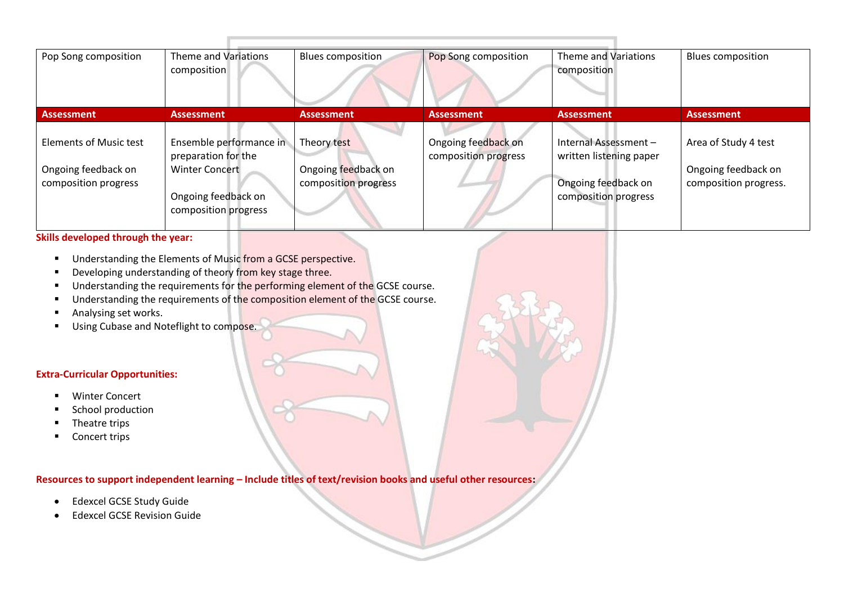| Pop Song composition                                                         | Theme and Variations<br>composition                                                                                    | Blues composition                                          | Pop Song composition                        | Theme and Variations<br>composition                                                            | <b>Blues composition</b>                                             |
|------------------------------------------------------------------------------|------------------------------------------------------------------------------------------------------------------------|------------------------------------------------------------|---------------------------------------------|------------------------------------------------------------------------------------------------|----------------------------------------------------------------------|
| <b>Assessment</b>                                                            | <b>Assessment</b>                                                                                                      | <b>Assessment</b>                                          | <b>Assessment</b>                           | <b>Assessment</b>                                                                              | <b>Assessment</b>                                                    |
| <b>Elements of Music test</b><br>Ongoing feedback on<br>composition progress | Ensemble performance in<br>preparation for the<br><b>Winter Concert</b><br>Ongoing feedback on<br>composition progress | Theory test<br>Ongoing feedback on<br>composition progress | Ongoing feedback on<br>composition progress | Internal Assessment-<br>written listening paper<br>Ongoing feedback on<br>composition progress | Area of Study 4 test<br>Ongoing feedback on<br>composition progress. |

- Understanding the Elements of Music from a GCSE perspective.
- Developing understanding of theory from key stage three.
- Understanding the requirements for the performing element of the GCSE course.
- Understanding the requirements of the composition element of the GCSE course.
- Analysing set works.
- Using Cubase and Noteflight to compose.

#### **Extra-Curricular Opportunities:**

- Winter Concert
- School production
- Theatre trips
- Concert trips

## **Resources to support independent learning – Include titles of text/revision books and useful other resources:**

- Edexcel GCSE Study Guide
- Edexcel GCSE Revision Guide

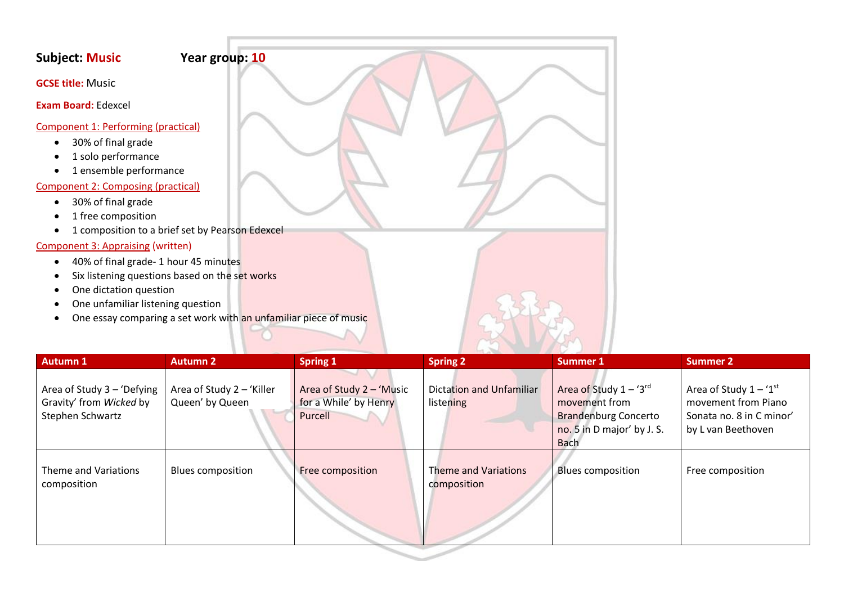## **Subject: Music Year group: 10**

**GCSE title:** Music

**Exam Board:** Edexcel

#### Component 1: Performing (practical)

- 30% of final grade
- 1 solo performance
- 1 ensemble performance

## Component 2: Composing (practical)

- 30% of final grade
- 1 free composition
- 1 composition to a brief set by Pearson Edexcel

## Component 3: Appraising (written)

- 40% of final grade- 1 hour 45 minutes
- Six listening questions based on the set works
- One dictation question
- One unfamiliar listening question
- One essay comparing a set work with an unfamiliar piece of music

| <b>Autumn 1</b>                                                           | <b>Autumn 2</b>                              | <b>Spring 1</b>                                              | <b>Spring 2</b>                            | <b>Summer 1</b>                                                                                                          | <b>Summer 2</b>                                                                                              |
|---------------------------------------------------------------------------|----------------------------------------------|--------------------------------------------------------------|--------------------------------------------|--------------------------------------------------------------------------------------------------------------------------|--------------------------------------------------------------------------------------------------------------|
| Area of Study 3 - 'Defying<br>Gravity' from Wicked by<br>Stephen Schwartz | Area of Study 2 - 'Killer<br>Queen' by Queen | Area of Study 2 - 'Music<br>for a While' by Henry<br>Purcell | Dictation and Unfamiliar<br>listening      | Area of Study $1 - '3^{rd}$<br>movement from<br><b>Brandenburg Concerto</b><br>no. 5 in D major' by J. S.<br><b>Bach</b> | Area of Study $1 - 1$ <sup>st</sup><br>movement from Piano<br>Sonata no. 8 in C minor'<br>by L van Beethoven |
| Theme and Variations<br>composition                                       | <b>Blues composition</b>                     | Free composition                                             | <b>Theme and Variations</b><br>composition | <b>Blues composition</b>                                                                                                 | Free composition                                                                                             |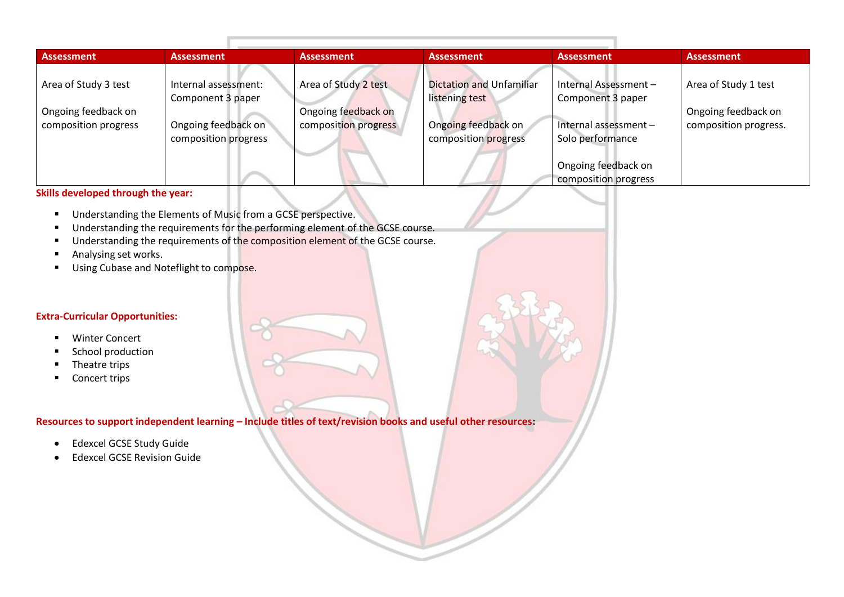| <b>Assessment</b>    | <b>Assessment</b>                         | <b>Assessment</b>    | <b>Assessment</b>                                 | Assessment                                | <b>Assessment</b>     |
|----------------------|-------------------------------------------|----------------------|---------------------------------------------------|-------------------------------------------|-----------------------|
| Area of Study 3 test | Internal assessment:<br>Component 3 paper | Area of Study 2 test | <b>Dictation and Unfamiliar</b><br>listening test | Internal Assessment-<br>Component 3 paper | Area of Study 1 test  |
| Ongoing feedback on  |                                           | Ongoing feedback on  |                                                   |                                           | Ongoing feedback on   |
| composition progress | Ongoing feedback on                       | composition progress | Ongoing feedback on                               | Internal assessment-                      | composition progress. |
|                      | composition progress                      |                      | composition progress                              | Solo performance                          |                       |
|                      |                                           |                      |                                                   | Ongoing feedback on                       |                       |
|                      |                                           |                      |                                                   | composition progress                      |                       |

- Understanding the Elements of Music from a GCSE perspective.
- Understanding the requirements for the performing element of the GCSE course.
- Understanding the requirements of the composition element of the GCSE course.
- Analysing set works.
- Using Cubase and Noteflight to compose.

#### **Extra-Curricular Opportunities:**

- Winter Concert
- School production
- **■** Theatre trips
- Concert trips

**Resources to support independent learning – Include titles of text/revision books and useful other resources:**

- Edexcel GCSE Study Guide
- Edexcel GCSE Revision Guide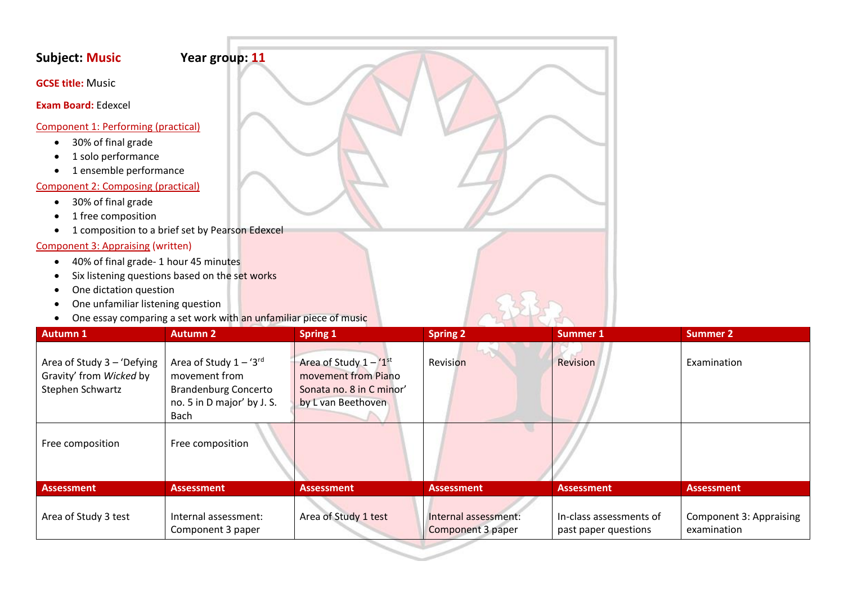## **Subject: Music Year group: 11**

**GCSE title:** Music

**Exam Board:** Edexcel

#### Component 1: Performing (practical)

- 30% of final grade
- 1 solo performance
- 1 ensemble performance

## Component 2: Composing (practical)

- 30% of final grade
- 1 free composition
- 1 composition to a brief set by Pearson Edexcel

## Component 3: Appraising (written)

- 40% of final grade- 1 hour 45 minutes
- Six listening questions based on the set works
- One dictation question
- One unfamiliar listening question
- One essay comparing a set work with an unfamiliar piece of music

| <b>Autumn 1</b>                                                           | <b>Autumn 2</b>                                                                                                   | <b>Spring 1</b>                                                                                   | <b>Spring 2</b>                           | Summer 1                                        | <b>Summer 2</b>                        |
|---------------------------------------------------------------------------|-------------------------------------------------------------------------------------------------------------------|---------------------------------------------------------------------------------------------------|-------------------------------------------|-------------------------------------------------|----------------------------------------|
| Area of Study 3 - 'Defying<br>Gravity' from Wicked by<br>Stephen Schwartz | Area of Study $1 - '3^{rd}$<br>movement from<br><b>Brandenburg Concerto</b><br>no. 5 in D major' by J. S.<br>Bach | Area of Study $1 - 1$ st<br>movement from Piano<br>Sonata no. 8 in C minor'<br>by L van Beethoven | Revision                                  | Revision                                        | Examination                            |
| Free composition                                                          | Free composition                                                                                                  |                                                                                                   |                                           |                                                 |                                        |
| <b>Assessment</b>                                                         | <b>Assessment</b>                                                                                                 | <b>Assessment</b>                                                                                 | <b>Assessment</b>                         | <b>Assessment</b>                               | <b>Assessment</b>                      |
| Area of Study 3 test                                                      | Internal assessment:<br>Component 3 paper                                                                         | Area of Study 1 test                                                                              | Internal assessment:<br>Component 3 paper | In-class assessments of<br>past paper questions | Component 3: Appraising<br>examination |